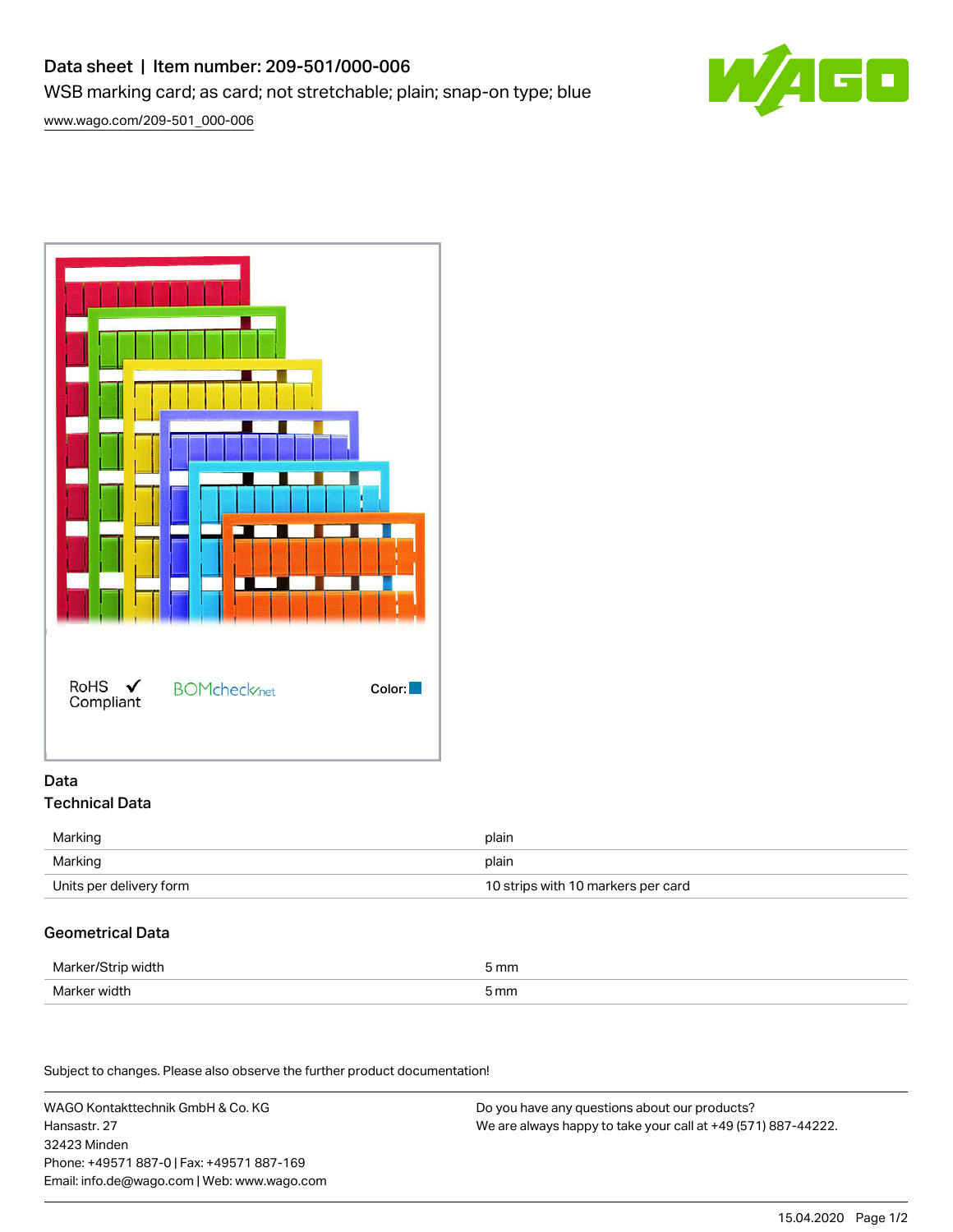# Data sheet | Item number: 209-501/000-006

WSB marking card; as card; not stretchable; plain; snap-on type; blue

[www.wago.com/209-501\\_000-006](http://www.wago.com/209-501_000-006)





### Data Technical Data

| Marking                 | plain                              |
|-------------------------|------------------------------------|
| Marking                 | plain                              |
| Units per delivery form | 10 strips with 10 markers per card |

## Geometrical Data

| Marker/<br>, width<br>י | mm   |
|-------------------------|------|
| Marker width            | 5 mm |

Subject to changes. Please also observe the further product documentation!

WAGO Kontakttechnik GmbH & Co. KG Hansastr. 27 32423 Minden Phone: +49571 887-0 | Fax: +49571 887-169 Email: info.de@wago.com | Web: www.wago.com

Do you have any questions about our products? We are always happy to take your call at +49 (571) 887-44222.